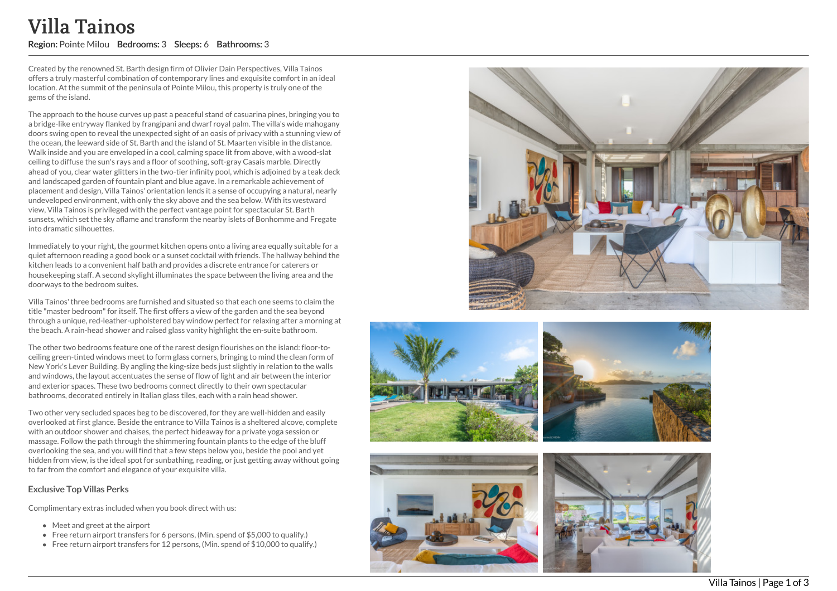Created by the renowned St. Barth design firm of Olivier Dain Perspectives, Villa Tainos offers a truly masterful combination of contemporary lines and exquisite comfort in an ideal location. At the summit of the peninsula of Pointe Milou, this property is truly one of the gems of the island.

The approach to the house curves up past a peaceful stand of casuarina pines, bringing you t o a bridge-like entryway flanked by frangipani and dwarf royal palm. The villa's wide mahogany doors swing open to reveal the unexpected sight of an oasis of privacy with a stunning view of the ocean, the leeward side of St. Barth and the island of St. Maarten visible in the distance. Walk inside and you are enveloped in a cool, calming space lit from above, with a wood-slat ceiling to diffuse the sun's rays and a floor of soothing, soft-gray Casais marble. Directly ahead of you, clear water glitters in the two-tier infinity pool, which is adjoined by a teak de c k and landscaped garden of fountain plant and blue agave. In a remarkable achievement of placement and design, Villa Tainos' orientation lends it a sense of occupying a natural, nearly undeveloped environment, with only the sky above and the sea below. With its westward view, Villa Tainos is privileged with the perfect vantage point for spectacular St. Barth sunsets, which set the sky aflame and transform the nearby islets of Bonhomme and Fregate into dramatic silhouettes. **Villa Transfers of Free return aircless** for **C Created by the entomonistic Creation** of Chilipser Contemporary lines and expansions, Mills Tainoshing of the summin of the persions) and properties for the summin of the

Immediately to your right, the gourmet kitchen opens onto a living area equally suitable for a quiet afternoon reading a good book or a sunset cocktail with friends. The hallway behind the kitchen leads to a convenient half bath and provides a discrete entrance for caterers or housekeeping staff. A second skylight illuminates the space between the living area and the doorways to the bedroom suites.

Villa Tainos' three bedrooms are furnished and situated so that each one seems to claim the title "master bedroom"for itself. The first offers a view of the garden and the sea beyond through a unique, red-leather-upholstered bay window perfect for relaxing after a morning at the beach. A rain-head shower and raised glass vanity highlight the en-suite bathroom.

The other two bedrooms feature one of the rarest design flourishes on the island: floor-to ceiling green-tinted windows meet to form glass corners, bringing to mind the clean form of New York's Lever Building. By angling the king-size beds just slightly in relation to the walls and windows, the layout accentuates the sense of flow of light and air between the interior and exterior spaces. These two bedrooms connect directly to their own spectacular bathrooms, decorated entirely in Italian glass tiles, each with a rain head shower.

Two other very secluded spaces beg to be discovered, for they are well-hidden and easily overlooked at first glance. Beside the entrance to Villa Tainos is a sheltered alcove, complete with an outdoor shower and chaises, the perfect hideaway for a private yoga session or massage. Follow the path through the shimmering fountain plants to the edge of the bluff overlooking the sea, and you will find that a few steps below you, beside the pool and yet hidden from view, is the ideal spot for sunbathing, reading, or just getting away without going to far from the comfort and elegance of your exquisite villa.

## Exclusive Top Villas Perks

Complimentary extras included when you book direct with us:

- Meet and greet at the airport
- Free return airport transfers for 6 persons, (Min. spend of \$5,000 to qualify.)
- 









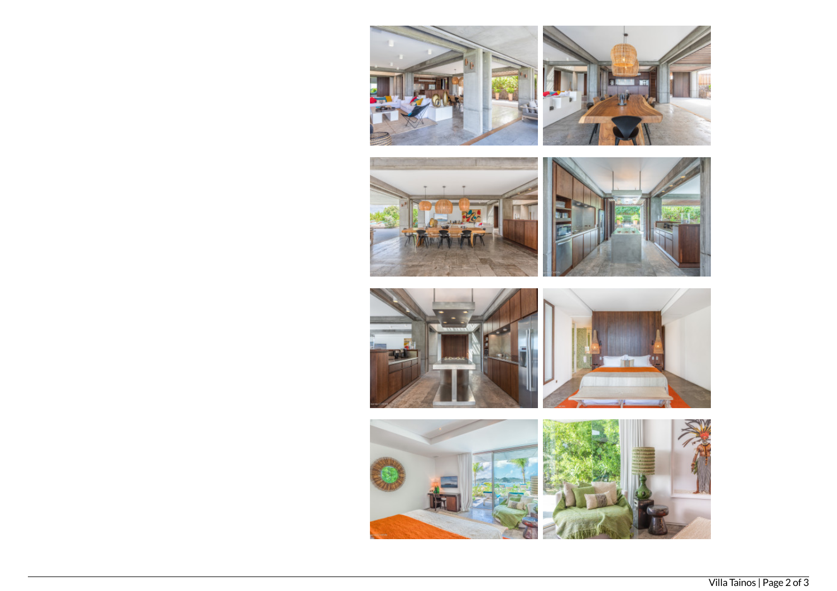